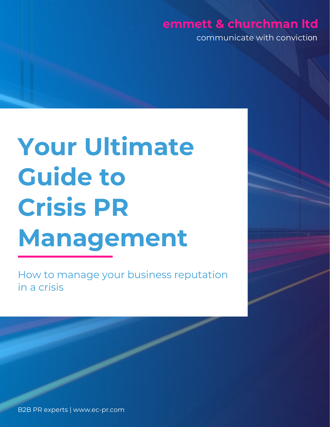### **emmett & churchman ltd**

communicate with conviction

# **Your Ultimate Guide to Crisis PR Management**

How to manage your business reputation in a crisis

B2B PR experts | www.ec-pr.com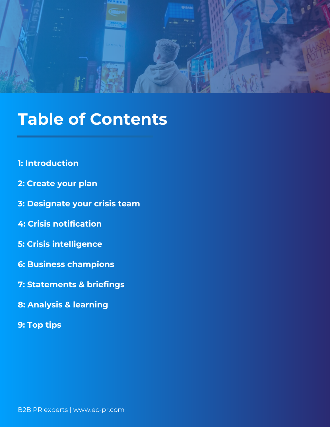

# **Table of Contents**

- **1: Introduction**
- **2: Create your plan**
- **3: Designate your crisis team**
- **4: Crisis notification**
- **5: Crisis intelligence**
- **6: Business champions**
- **7: Statements & briefings**
- **8: Analysis & learning**
- **9: Top tips**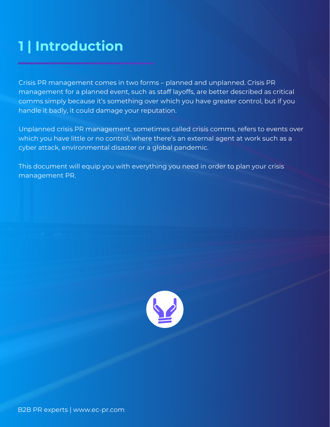# **1 | Introduction**

Crisis PR management comes in two forms – planned and unplanned. Crisis PR management for a planned event, such as staff layoffs, are better described as critical comms simply because it's something over which you have greater control, but if you handle it badly, it could damage your reputation.

Unplanned crisis PR management, sometimes called crisis comms, refers to events over which you have little or no control, where there's an external agent at work such as a cyber attack, environmental disaster or a global pandemic.

This document will equip you with everything you need in order to plan your crisis management PR.

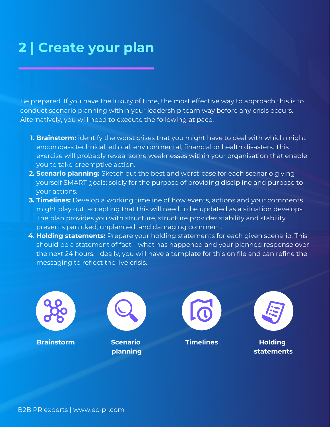# **2 | Create your plan**

Be prepared. If you have the luxury of time, the most effective way to approach this is to conduct scenario planning within your leadership team way before any crisis occurs. Alternatively, you will need to execute the following at pace.

- **1. Brainstorm:** identify the worst crises that you might have to deal with which might encompass technical, ethical, environmental, financial or health disasters. This exercise will probably reveal some weaknesses within your organisation that enable you to take preemptive action.
- **2. Scenario planning:** Sketch out the best and worst-case for each scenario giving yourself SMART goals; solely for the purpose of providing discipline and purpose to your actions.
- **3. Timelines:** Develop a working timeline of how events, actions and your comments might play out, accepting that this will need to be updated as a situation develops. The plan provides you with structure, structure provides stability and stability prevents panicked, unplanned, and damaging comment.
- **4. Holding statements:** Prepare your holding statements for each given scenario. This should be a statement of fact – what has happened and your planned response over the next 24 hours. Ideally, you will have a template for this on file and can refine the messaging to reflect the live crisis.

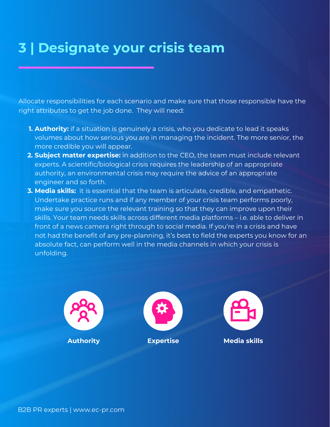# **3 | Designate your crisis team**

Allocate responsibilities for each scenario and make sure that those responsible have the right attributes to get the job done. They will need:

- **1. Authority:** if a situation is genuinely a crisis, who you dedicate to lead it speaks volumes about how serious you are in managing the incident. The more senior, the more credible you will appear.
- **2. Subject matter expertise:** in addition to the CEO, the team must include relevant experts. A scientific/biological crisis requires the leadership of an appropriate authority, an environmental crisis may require the advice of an appropriate engineer and so forth.
- **3. Media skills:** it is essential that the team is articulate, credible, and empathetic. Undertake practice runs and if any member of your crisis team performs poorly, make sure you source the relevant training so that they can improve upon their skills. Your team needs skills across different media platforms – i.e. able to deliver in front of a news camera right through to social media. If you're in a crisis and have not had the benefit of any pre-planning, it's best to field the experts you know for an absolute fact, can perform well in the media channels in which your crisis is unfolding.

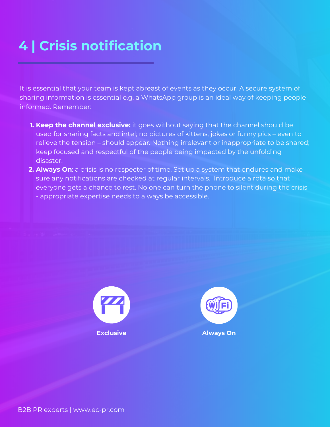# **4 | Crisis notification**

It is essential that your team is kept abreast of events as they occur. A secure system of sharing information is essential e.g. a WhatsApp group is an ideal way of keeping people informed. Remember:

- **1. Keep the channel exclusive:** it goes without saying that the channel should be used for sharing facts and intel; no pictures of kittens, jokes or funny pics – even to relieve the tension – should appear. Nothing irrelevant or inappropriate to be shared; keep focused and respectful of the people being impacted by the unfolding disaster.
- **2. Always On**: a crisis is no respecter of time. Set up a system that endures and make sure any notifications are checked at regular intervals. Introduce a rota so that everyone gets a chance to rest. No one can turn the phone to silent during the crisis - appropriate expertise needs to always be accessible.



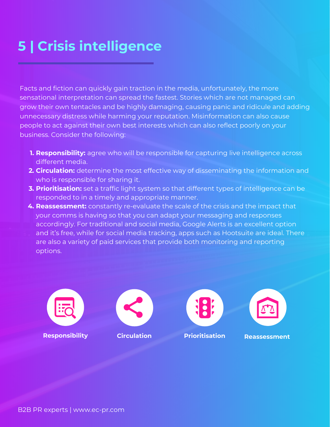# **5 | Crisis intelligence**

Facts and fiction can quickly gain traction in the media, unfortunately, the more sensational interpretation can spread the fastest. Stories which are not managed can grow their own tentacles and be highly damaging, causing panic and ridicule and adding unnecessary distress while harming your reputation. Misinformation can also cause people to act against their own best interests which can also reflect poorly on your business. Consider the following:

- **1. Responsibility:** agree who will be responsible for capturing live intelligence across different media.
- **2. Circulation:** determine the most effective way of disseminating the information and who is responsible for sharing it.
- **3. Prioritisation:** set a traffic light system so that different types of intelligence can be responded to in a timely and appropriate manner.
- **4. Reassessment:** constantly re-evaluate the scale of the crisis and the impact that your comms is having so that you can adapt your messaging and responses accordingly. For traditional and social media, Google Alerts is an excellent option
- and it's free, while for social media tracking, apps such as Hootsuite are ideal. There are also a variety of paid services that provide both monitoring and reporting options.







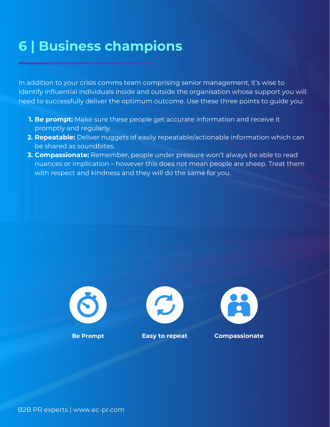# **6 | Business champions**

In addition to your crisis comms team comprising senior management, it's wise to identify influential individuals inside and outside the organisation whose support you will need to successfully deliver the optimum outcome. Use these three points to guide you:

- **1. Be prompt:** Make sure these people get accurate information and receive it promptly and regularly.
- **2. Repeatable:** Deliver nuggets of easily repeatable/actionable information which can be shared as soundbites.
- **3. Compassionate:** Remember, people under pressure won't always be able to read nuances or implication – however this does not mean people are sheep. Treat them with respect and kindness and they will do the same for you.







**Be Prompt Easy to repeat Compassionate**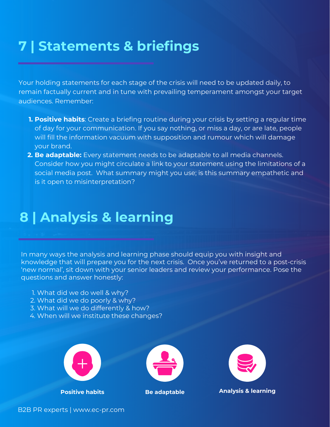# **7 | Statements & briefings**

Your holding statements for each stage of the crisis will need to be updated daily, to remain factually current and in tune with prevailing temperament amongst your target audiences. Remember:

- **1. Positive habits**: Create a briefing routine during your crisis by setting a regular time of day for your communication. If you say nothing, or miss a day, or are late, people will fill the information vacuum with supposition and rumour which will damage your brand.
- **2. Be adaptable:** Every statement needs to be adaptable to all media channels. Consider how you might circulate a link to your statement using the limitations of a social media post. What summary might you use; is this summary empathetic and is it open to misinterpretation?

### **8 | Analysis & learning**

In many ways the analysis and learning phase should equip you with insight and knowledge that will prepare you for the next crisis. Once you've returned to a post-crisis 'new normal', sit down with your senior leaders and review your performance. Pose the questions and answer honestly:

- 1. What did we do well & why?
- 2. What did we do poorly & why?
- 3. What will we do differently & how?
- 4. When will we institute these changes?







**Positive habits Be adaptable Analysis & learning**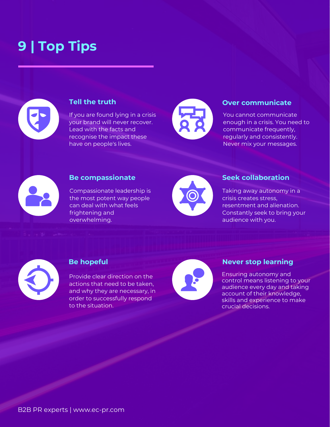# **9 | Top Tips**



### **Tell the truth**

If you are found lying in a crisis your brand will never recover. Lead with the facts and recognise the impact these have on people's lives.



### **Over communicate**

You cannot communicate enough in a crisis. You need to communicate frequently, regularly and consistently. Never mix your messages.



### **Be compassionate**

Compassionate leadership is the most potent way people can deal with what feels frightening and overwhelming.



#### **Seek collaboration**

Taking away autonomy in a crisis creates stress, resentment and alienation. Constantly seek to bring your audience with you.



### **Be hopeful**

Provide clear direction on the actions that need to be taken, and why they are necessary, in order to successfully respond to the situation.



### **Never stop learning**

Ensuring autonomy and control means listening to your audience every day and taking account of their knowledge, skills and experience to make crucial decisions.